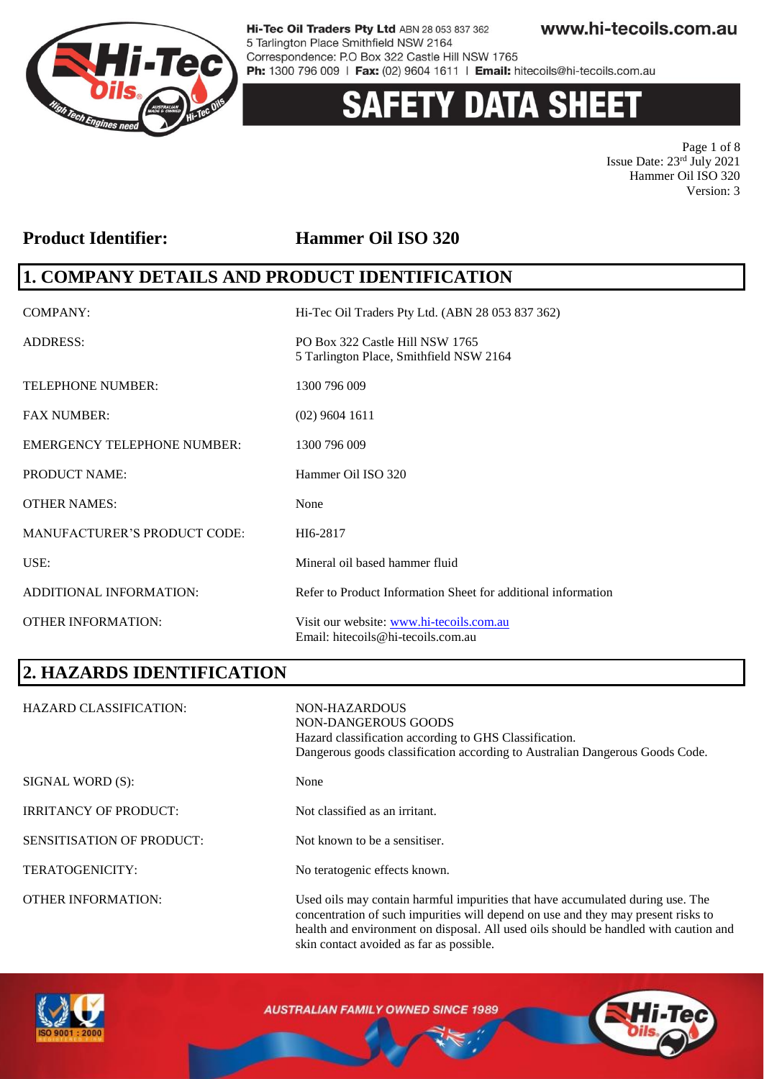

# **ETY DATA SHEET**

Page 1 of 8 Issue Date: 23rd July 2021 Hammer Oil ISO 320 Version: 3

#### **Product Identifier: Hammer Oil ISO 320**

### **1. COMPANY DETAILS AND PRODUCT IDENTIFICATION**

| COMPANY:                            | Hi-Tec Oil Traders Pty Ltd. (ABN 28 053 837 362)                               |
|-------------------------------------|--------------------------------------------------------------------------------|
| <b>ADDRESS:</b>                     | PO Box 322 Castle Hill NSW 1765<br>5 Tarlington Place, Smithfield NSW 2164     |
| <b>TELEPHONE NUMBER:</b>            | 1300 796 009                                                                   |
| <b>FAX NUMBER:</b>                  | $(02)$ 9604 1611                                                               |
| <b>EMERGENCY TELEPHONE NUMBER:</b>  | 1300 796 009                                                                   |
| <b>PRODUCT NAME:</b>                | Hammer Oil ISO 320                                                             |
| <b>OTHER NAMES:</b>                 | None                                                                           |
| <b>MANUFACTURER'S PRODUCT CODE:</b> | HI6-2817                                                                       |
| USE:                                | Mineral oil based hammer fluid                                                 |
| ADDITIONAL INFORMATION:             | Refer to Product Information Sheet for additional information                  |
| <b>OTHER INFORMATION:</b>           | Visit our website: www.hi-tecoils.com.au<br>Email: hitecoils@hi-tecoils.com.au |

# **2. HAZARDS IDENTIFICATION**

| <b>HAZARD CLASSIFICATION:</b>    | NON-HAZARDOUS<br>NON-DANGEROUS GOODS<br>Hazard classification according to GHS Classification.<br>Dangerous goods classification according to Australian Dangerous Goods Code.                                                                              |
|----------------------------------|-------------------------------------------------------------------------------------------------------------------------------------------------------------------------------------------------------------------------------------------------------------|
| SIGNAL WORD (S):                 | None                                                                                                                                                                                                                                                        |
| <b>IRRITANCY OF PRODUCT:</b>     | Not classified as an irritant.                                                                                                                                                                                                                              |
| <b>SENSITISATION OF PRODUCT:</b> | Not known to be a sensitiser.                                                                                                                                                                                                                               |
| <b>TERATOGENICITY:</b>           | No teratogenic effects known.                                                                                                                                                                                                                               |
| <b>OTHER INFORMATION:</b>        | Used oils may contain harmful impurities that have accumulated during use. The<br>concentration of such impurities will depend on use and they may present risks to<br>health and environment on disposal. All used oils should be handled with caution and |



**AUSTRALIAN FAMILY OWNED SINCE 1989** 

skin contact avoided as far as possible.

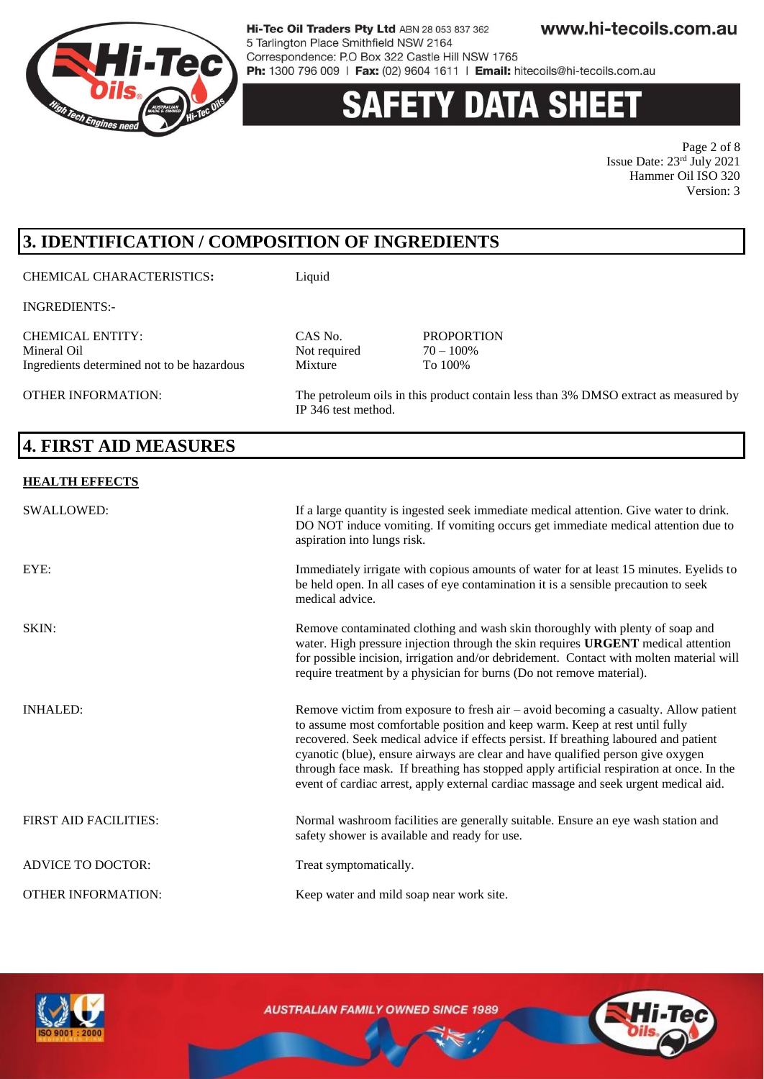

# **Y DATA SHEE**

Page 2 of 8 Issue Date: 23rd July 2021 Hammer Oil ISO 320 Version: 3

# **3. IDENTIFICATION / COMPOSITION OF INGREDIENTS**

CHEMICAL CHARACTERISTICS**:** Liquid

INGREDIENTS:-

CHEMICAL ENTITY: CAS No. PROPORTION Ingredients determined not to be hazardous Mixture

OTHER INFORMATION: The petroleum oils in this product contain less than 3% DMSO extract as measured by IP 346 test method.

# **4. FIRST AID MEASURES**

#### **HEALTH EFFECTS**

| <b>SWALLOWED:</b>            | If a large quantity is ingested seek immediate medical attention. Give water to drink.<br>DO NOT induce vomiting. If vomiting occurs get immediate medical attention due to<br>aspiration into lungs risk.                                                                                                                                                                                                                                                                                                                          |
|------------------------------|-------------------------------------------------------------------------------------------------------------------------------------------------------------------------------------------------------------------------------------------------------------------------------------------------------------------------------------------------------------------------------------------------------------------------------------------------------------------------------------------------------------------------------------|
| EYE:                         | Immediately irrigate with copious amounts of water for at least 15 minutes. Eyelids to<br>be held open. In all cases of eye contamination it is a sensible precaution to seek<br>medical advice.                                                                                                                                                                                                                                                                                                                                    |
| SKIN:                        | Remove contaminated clothing and wash skin thoroughly with plenty of soap and<br>water. High pressure injection through the skin requires URGENT medical attention<br>for possible incision, irrigation and/or debridement. Contact with molten material will<br>require treatment by a physician for burns (Do not remove material).                                                                                                                                                                                               |
| <b>INHALED:</b>              | Remove victim from exposure to fresh air $-$ avoid becoming a casualty. Allow patient<br>to assume most comfortable position and keep warm. Keep at rest until fully<br>recovered. Seek medical advice if effects persist. If breathing laboured and patient<br>cyanotic (blue), ensure airways are clear and have qualified person give oxygen<br>through face mask. If breathing has stopped apply artificial respiration at once. In the<br>event of cardiac arrest, apply external cardiac massage and seek urgent medical aid. |
| <b>FIRST AID FACILITIES:</b> | Normal washroom facilities are generally suitable. Ensure an eye wash station and<br>safety shower is available and ready for use.                                                                                                                                                                                                                                                                                                                                                                                                  |
| <b>ADVICE TO DOCTOR:</b>     | Treat symptomatically.                                                                                                                                                                                                                                                                                                                                                                                                                                                                                                              |
| <b>OTHER INFORMATION:</b>    | Keep water and mild soap near work site.                                                                                                                                                                                                                                                                                                                                                                                                                                                                                            |

Not required  $70 - 100$ <sup>%</sup><br>Mixture To  $100%$ 

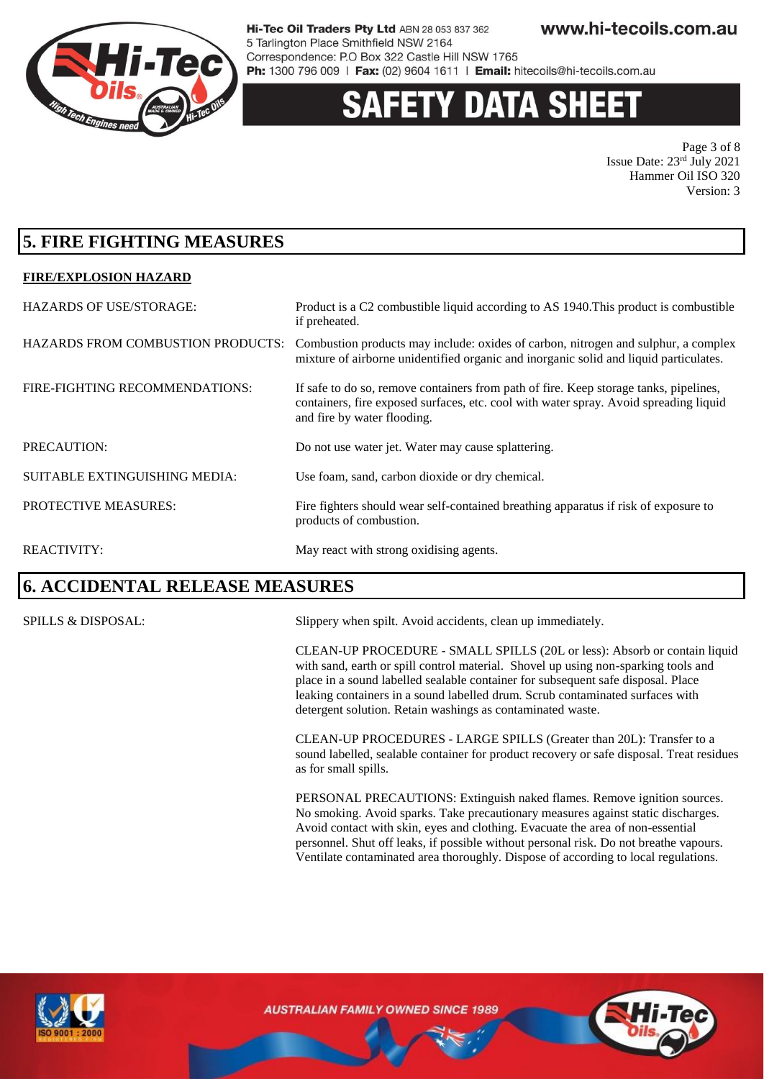

# 'Y DATA SHEI

Page 3 of 8 Issue Date: 23rd July 2021 Hammer Oil ISO 320 Version: 3

### **5. FIRE FIGHTING MEASURES**

#### **FIRE/EXPLOSION HAZARD**

| <b>HAZARDS OF USE/STORAGE:</b>           | Product is a C2 combustible liquid according to AS 1940. This product is combustible<br>if preheated.                                                                                                         |
|------------------------------------------|---------------------------------------------------------------------------------------------------------------------------------------------------------------------------------------------------------------|
| <b>HAZARDS FROM COMBUSTION PRODUCTS:</b> | Combustion products may include: oxides of carbon, nitrogen and sulphur, a complex<br>mixture of airborne unidentified organic and inorganic solid and liquid particulates.                                   |
| FIRE-FIGHTING RECOMMENDATIONS:           | If safe to do so, remove containers from path of fire. Keep storage tanks, pipelines,<br>containers, fire exposed surfaces, etc. cool with water spray. Avoid spreading liquid<br>and fire by water flooding. |
| PRECAUTION:                              | Do not use water jet. Water may cause splattering.                                                                                                                                                            |
| SUITABLE EXTINGUISHING MEDIA:            | Use foam, sand, carbon dioxide or dry chemical.                                                                                                                                                               |
| <b>PROTECTIVE MEASURES:</b>              | Fire fighters should wear self-contained breathing apparatus if risk of exposure to<br>products of combustion.                                                                                                |
| <b>REACTIVITY:</b>                       | May react with strong oxidising agents.                                                                                                                                                                       |

#### **6. ACCIDENTAL RELEASE MEASURES**

SPILLS & DISPOSAL: Slippery when spilt. Avoid accidents, clean up immediately.

CLEAN-UP PROCEDURE - SMALL SPILLS (20L or less): Absorb or contain liquid with sand, earth or spill control material. Shovel up using non-sparking tools and place in a sound labelled sealable container for subsequent safe disposal. Place leaking containers in a sound labelled drum. Scrub contaminated surfaces with detergent solution. Retain washings as contaminated waste.

CLEAN-UP PROCEDURES - LARGE SPILLS (Greater than 20L): Transfer to a sound labelled, sealable container for product recovery or safe disposal. Treat residues as for small spills.

PERSONAL PRECAUTIONS: Extinguish naked flames. Remove ignition sources. No smoking. Avoid sparks. Take precautionary measures against static discharges. Avoid contact with skin, eyes and clothing. Evacuate the area of non-essential personnel. Shut off leaks, if possible without personal risk. Do not breathe vapours. Ventilate contaminated area thoroughly. Dispose of according to local regulations.



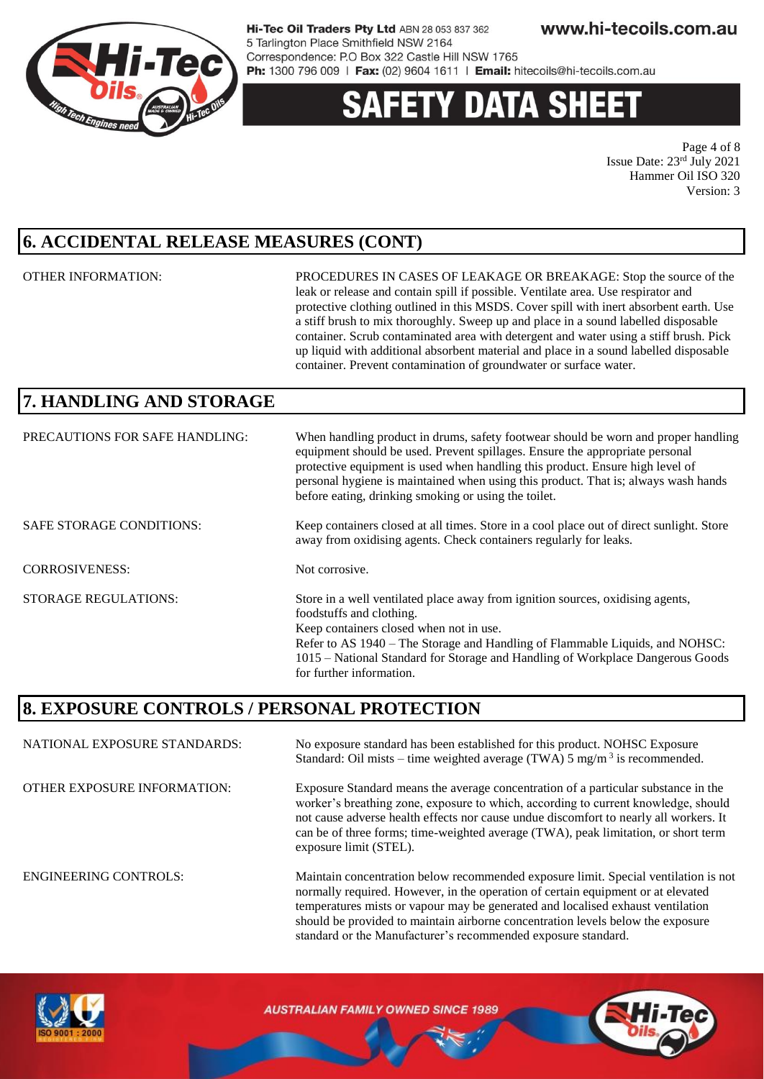

# 'Y DATA SHEE

Page 4 of 8 Issue Date: 23rd July 2021 Hammer Oil ISO 320 Version: 3

### **6. ACCIDENTAL RELEASE MEASURES (CONT)**

OTHER INFORMATION: PROCEDURES IN CASES OF LEAKAGE OR BREAKAGE: Stop the source of the leak or release and contain spill if possible. Ventilate area. Use respirator and protective clothing outlined in this MSDS. Cover spill with inert absorbent earth. Use a stiff brush to mix thoroughly. Sweep up and place in a sound labelled disposable container. Scrub contaminated area with detergent and water using a stiff brush. Pick up liquid with additional absorbent material and place in a sound labelled disposable container. Prevent contamination of groundwater or surface water.

should be provided to maintain airborne concentration levels below the exposure

standard or the Manufacturer's recommended exposure standard.

### **7. HANDLING AND STORAGE**

| PRECAUTIONS FOR SAFE HANDLING:  | When handling product in drums, safety footwear should be worn and proper handling<br>equipment should be used. Prevent spillages. Ensure the appropriate personal<br>protective equipment is used when handling this product. Ensure high level of<br>personal hygiene is maintained when using this product. That is; always wash hands<br>before eating, drinking smoking or using the toilet. |
|---------------------------------|---------------------------------------------------------------------------------------------------------------------------------------------------------------------------------------------------------------------------------------------------------------------------------------------------------------------------------------------------------------------------------------------------|
| <b>SAFE STORAGE CONDITIONS:</b> | Keep containers closed at all times. Store in a cool place out of direct sunlight. Store<br>away from oxidising agents. Check containers regularly for leaks.                                                                                                                                                                                                                                     |
| <b>CORROSIVENESS:</b>           | Not corrosive.                                                                                                                                                                                                                                                                                                                                                                                    |
| <b>STORAGE REGULATIONS:</b>     | Store in a well ventilated place away from ignition sources, oxidising agents,<br>foodstuffs and clothing.<br>Keep containers closed when not in use.<br>Refer to AS 1940 – The Storage and Handling of Flammable Liquids, and NOHSC:<br>1015 – National Standard for Storage and Handling of Workplace Dangerous Goods<br>for further information.                                               |

#### **8. EXPOSURE CONTROLS / PERSONAL PROTECTION**

NATIONAL EXPOSURE STANDARDS: No exposure standard has been established for this product. NOHSC Exposure Standard: Oil mists – time weighted average (TWA)  $5 \text{ mg/m}^3$  is recommended. OTHER EXPOSURE INFORMATION: Exposure Standard means the average concentration of a particular substance in the worker's breathing zone, exposure to which, according to current knowledge, should not cause adverse health effects nor cause undue discomfort to nearly all workers. It can be of three forms; time-weighted average (TWA), peak limitation, or short term exposure limit (STEL). ENGINEERING CONTROLS: Maintain concentration below recommended exposure limit. Special ventilation is not normally required. However, in the operation of certain equipment or at elevated temperatures mists or vapour may be generated and localised exhaust ventilation



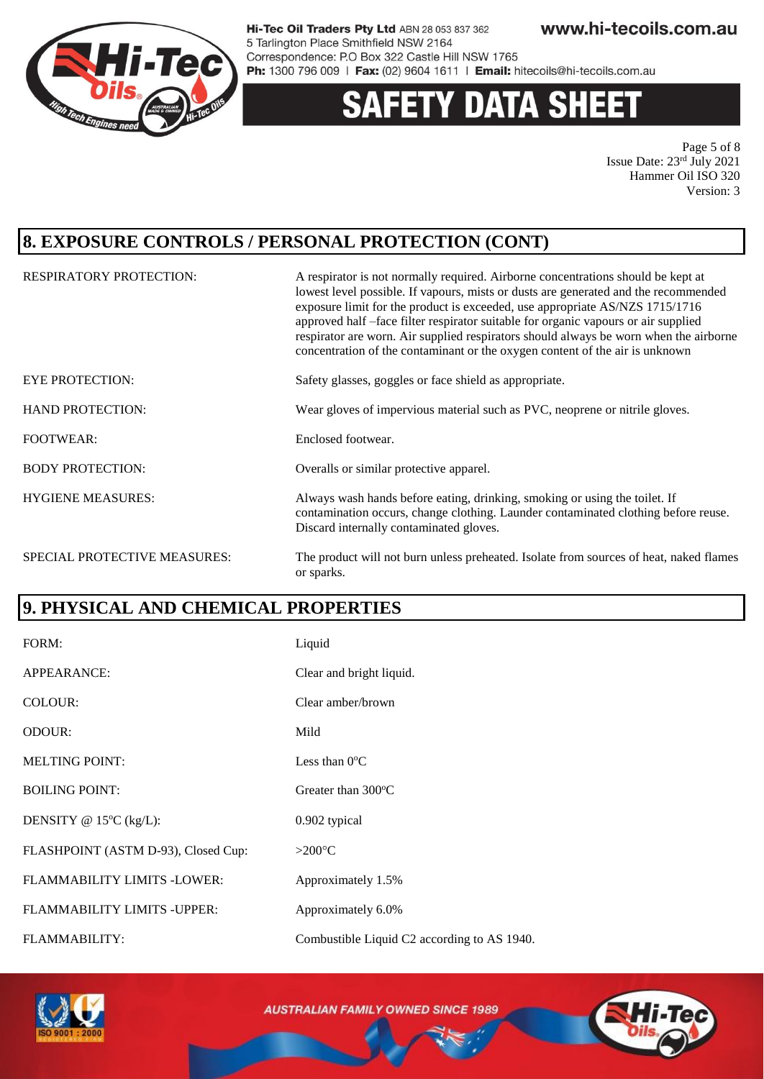

#### **DATA SHEET** Y.

Page 5 of 8 Issue Date: 23rd July 2021 Hammer Oil ISO 320 Version: 3

### **8. EXPOSURE CONTROLS / PERSONAL PROTECTION (CONT)**

| <b>RESPIRATORY PROTECTION:</b> | A respirator is not normally required. Airborne concentrations should be kept at<br>lowest level possible. If vapours, mists or dusts are generated and the recommended<br>exposure limit for the product is exceeded, use appropriate AS/NZS 1715/1716<br>approved half -face filter respirator suitable for organic vapours or air supplied<br>respirator are worn. Air supplied respirators should always be worn when the airborne<br>concentration of the contaminant or the oxygen content of the air is unknown |
|--------------------------------|------------------------------------------------------------------------------------------------------------------------------------------------------------------------------------------------------------------------------------------------------------------------------------------------------------------------------------------------------------------------------------------------------------------------------------------------------------------------------------------------------------------------|
| <b>EYE PROTECTION:</b>         | Safety glasses, goggles or face shield as appropriate.                                                                                                                                                                                                                                                                                                                                                                                                                                                                 |
| <b>HAND PROTECTION:</b>        | Wear gloves of impervious material such as PVC, neoprene or nitrile gloves.                                                                                                                                                                                                                                                                                                                                                                                                                                            |
| <b>FOOTWEAR:</b>               | Enclosed footwear.                                                                                                                                                                                                                                                                                                                                                                                                                                                                                                     |
| <b>BODY PROTECTION:</b>        | Overalls or similar protective apparel.                                                                                                                                                                                                                                                                                                                                                                                                                                                                                |
| <b>HYGIENE MEASURES:</b>       | Always wash hands before eating, drinking, smoking or using the toilet. If<br>contamination occurs, change clothing. Launder contaminated clothing before reuse.<br>Discard internally contaminated gloves.                                                                                                                                                                                                                                                                                                            |
| SPECIAL PROTECTIVE MEASURES:   | The product will not burn unless preheated. Isolate from sources of heat, naked flames<br>or sparks.                                                                                                                                                                                                                                                                                                                                                                                                                   |

### **9. PHYSICAL AND CHEMICAL PROPERTIES**

| FORM:                               | Liquid                                      |
|-------------------------------------|---------------------------------------------|
| APPEARANCE:                         | Clear and bright liquid.                    |
| COLOUR:                             | Clear amber/brown                           |
| ODOUR:                              | Mild                                        |
| <b>MELTING POINT:</b>               | Less than $0^{\circ}$ C                     |
| <b>BOILING POINT:</b>               | Greater than $300^{\circ}$ C                |
| DENSITY @ $15^{\circ}C$ (kg/L):     | 0.902 typical                               |
| FLASHPOINT (ASTM D-93), Closed Cup: | $>200^{\circ}C$                             |
| FLAMMABILITY LIMITS -LOWER:         | Approximately 1.5%                          |
| FLAMMABILITY LIMITS - UPPER:        | Approximately 6.0%                          |
| <b>FLAMMABILITY:</b>                | Combustible Liquid C2 according to AS 1940. |

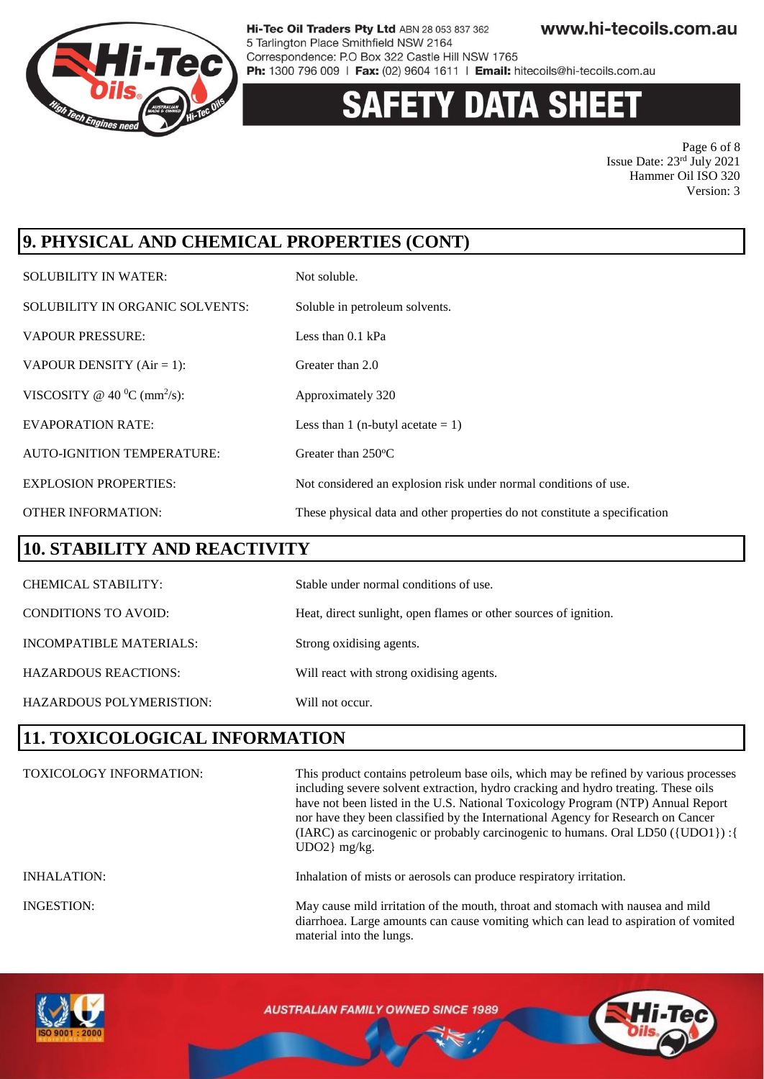

# **Y DATA SHEET**

Page 6 of 8 Issue Date: 23rd July 2021 Hammer Oil ISO 320 Version: 3

# **9. PHYSICAL AND CHEMICAL PROPERTIES (CONT)**

| <b>SOLUBILITY IN WATER:</b>                 | Not soluble.                                                               |
|---------------------------------------------|----------------------------------------------------------------------------|
| SOLUBILITY IN ORGANIC SOLVENTS:             | Soluble in petroleum solvents.                                             |
| <b>VAPOUR PRESSURE:</b>                     | Less than $0.1$ kPa                                                        |
| VAPOUR DENSITY $(Air = 1)$ :                | Greater than 2.0                                                           |
| VISCOSITY @ 40 $^0$ C (mm <sup>2</sup> /s): | Approximately 320                                                          |
| <b>EVAPORATION RATE:</b>                    | Less than 1 (n-butyl acetate $= 1$ )                                       |
| <b>AUTO-IGNITION TEMPERATURE:</b>           | Greater than $250^{\circ}$ C                                               |
| <b>EXPLOSION PROPERTIES:</b>                | Not considered an explosion risk under normal conditions of use.           |
| <b>OTHER INFORMATION:</b>                   | These physical data and other properties do not constitute a specification |

#### **10. STABILITY AND REACTIVITY**

| <b>CHEMICAL STABILITY:</b>  | Stable under normal conditions of use.                           |
|-----------------------------|------------------------------------------------------------------|
| <b>CONDITIONS TO AVOID:</b> | Heat, direct sunlight, open flames or other sources of ignition. |
| INCOMPATIBLE MATERIALS:     | Strong oxidising agents.                                         |
| <b>HAZARDOUS REACTIONS:</b> | Will react with strong oxidising agents.                         |
| HAZARDOUS POLYMERISTION:    | Will not occur.                                                  |

### **11. TOXICOLOGICAL INFORMATION**

| <b>TOXICOLOGY INFORMATION:</b> | This product contains petroleum base oils, which may be refined by various processes<br>including severe solvent extraction, hydro cracking and hydro treating. These oils<br>have not been listed in the U.S. National Toxicology Program (NTP) Annual Report<br>nor have they been classified by the International Agency for Research on Cancer<br>(IARC) as carcinogenic or probably carcinogenic to humans. Oral LD50 ({UDO1}) : {<br>$UDO2$ } mg/kg. |
|--------------------------------|------------------------------------------------------------------------------------------------------------------------------------------------------------------------------------------------------------------------------------------------------------------------------------------------------------------------------------------------------------------------------------------------------------------------------------------------------------|
| <b>INHALATION:</b>             | Inhalation of mists or aerosols can produce respiratory irritation.                                                                                                                                                                                                                                                                                                                                                                                        |
| <b>INGESTION:</b>              | May cause mild irritation of the mouth, throat and stomach with nausea and mild<br>diarrhoea. Large amounts can cause vomiting which can lead to aspiration of vomited<br>material into the lungs.                                                                                                                                                                                                                                                         |

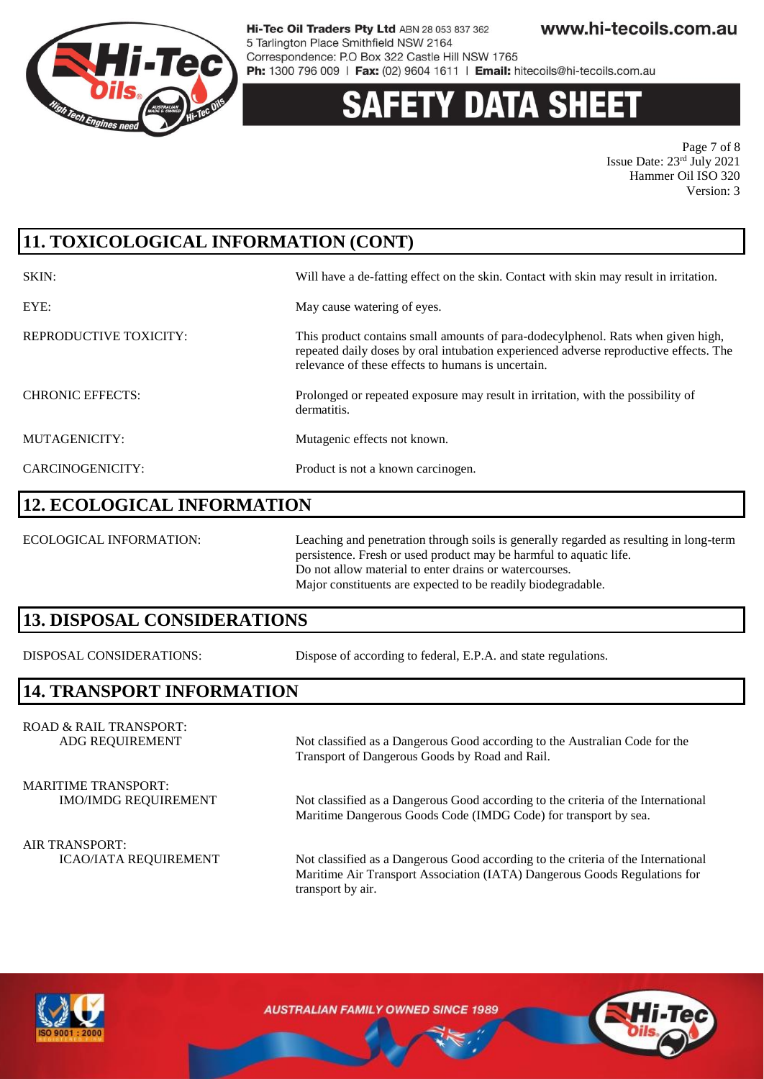

# 'Y DATA SH

Page 7 of 8 Issue Date: 23rd July 2021 Hammer Oil ISO 320 Version: 3

# **11. TOXICOLOGICAL INFORMATION (CONT)**

| SKIN:                   | Will have a de-fatting effect on the skin. Contact with skin may result in irritation.                                                                                                                                          |
|-------------------------|---------------------------------------------------------------------------------------------------------------------------------------------------------------------------------------------------------------------------------|
| EYE:                    | May cause watering of eyes.                                                                                                                                                                                                     |
| REPRODUCTIVE TOXICITY:  | This product contains small amounts of para-dodecylphenol. Rats when given high,<br>repeated daily doses by oral intubation experienced adverse reproductive effects. The<br>relevance of these effects to humans is uncertain. |
| <b>CHRONIC EFFECTS:</b> | Prolonged or repeated exposure may result in irritation, with the possibility of<br>dermatitis.                                                                                                                                 |
| MUTAGENICITY:           | Mutagenic effects not known.                                                                                                                                                                                                    |
| CARCINOGENICITY:        | Product is not a known carcinogen.                                                                                                                                                                                              |

#### **12. ECOLOGICAL INFORMATION**

ECOLOGICAL INFORMATION: Leaching and penetration through soils is generally regarded as resulting in long-term persistence. Fresh or used product may be harmful to aquatic life. Do not allow material to enter drains or watercourses. Major constituents are expected to be readily biodegradable.

#### **13. DISPOSAL CONSIDERATIONS**

DISPOSAL CONSIDERATIONS: Dispose of according to federal, E.P.A. and state regulations.

Transport of Dangerous Goods by Road and Rail.

#### **14. TRANSPORT INFORMATION**

ROAD & RAIL TRANSPORT: ADG REQUIREMENT Not classified as a Dangerous Good according to the Australian Code for the

MARITIME TRANSPORT:

IMO/IMDG REQUIREMENT Not classified as a Dangerous Good according to the criteria of the International

Maritime Dangerous Goods Code (IMDG Code) for transport by sea.

AIR TRANSPORT:

ICAO/IATA REQUIREMENT Not classified as a Dangerous Good according to the criteria of the International Maritime Air Transport Association (IATA) Dangerous Goods Regulations for transport by air.